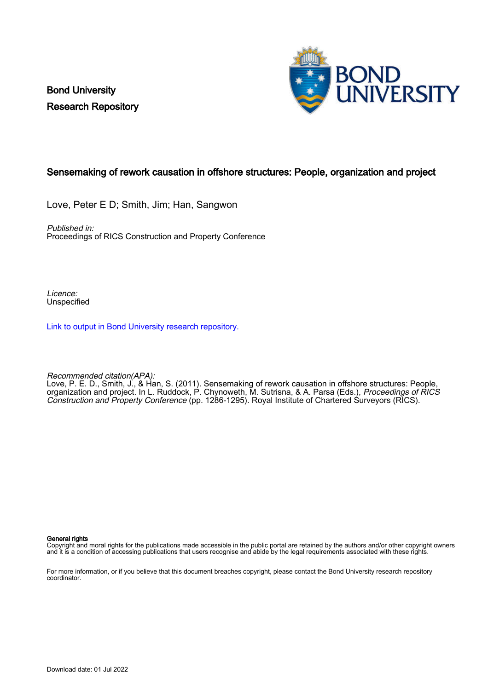Bond University Research Repository



#### Sensemaking of rework causation in offshore structures: People, organization and project

Love, Peter E D; Smith, Jim; Han, Sangwon

Published in: Proceedings of RICS Construction and Property Conference

Licence: Unspecified

[Link to output in Bond University research repository.](https://research.bond.edu.au/en/publications/9f405579-a597-4596-8d86-907bd1f73fdb)

Recommended citation(APA):

Love, P. E. D., Smith, J., & Han, S. (2011). Sensemaking of rework causation in offshore structures: People, organization and project. In L. Ruddock, P. Chynoweth, M. Sutrisna, & A. Parsa (Eds.), *Proceedings of RICS* Construction and Property Conference (pp. 1286-1295). Royal Institute of Chartered Surveyors (RICS).

#### General rights

Copyright and moral rights for the publications made accessible in the public portal are retained by the authors and/or other copyright owners and it is a condition of accessing publications that users recognise and abide by the legal requirements associated with these rights.

For more information, or if you believe that this document breaches copyright, please contact the Bond University research repository coordinator.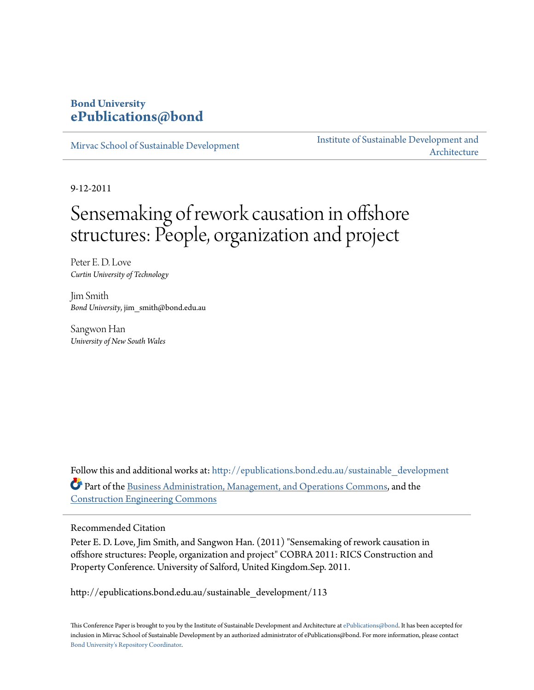## **Bond University [ePublications@bond](http://epublications.bond.edu.au?utm_source=epublications.bond.edu.au%2Fsustainable_development%2F113&utm_medium=PDF&utm_campaign=PDFCoverPages)**

[Mirvac School of Sustainable Development](http://epublications.bond.edu.au/sustainable_development?utm_source=epublications.bond.edu.au%2Fsustainable_development%2F113&utm_medium=PDF&utm_campaign=PDFCoverPages)

[Institute of Sustainable Development and](http://epublications.bond.edu.au/sustainabledev?utm_source=epublications.bond.edu.au%2Fsustainable_development%2F113&utm_medium=PDF&utm_campaign=PDFCoverPages) [Architecture](http://epublications.bond.edu.au/sustainabledev?utm_source=epublications.bond.edu.au%2Fsustainable_development%2F113&utm_medium=PDF&utm_campaign=PDFCoverPages)

9-12-2011

# Sensemaking of rework causation in offshore structures: People, organization and project

Peter E. D. Love *Curtin University of Technology*

Jim Smith *Bond University*, jim\_smith@bond.edu.au

Sangwon Han *University of New South Wales*

Follow this and additional works at: [http://epublications.bond.edu.au/sustainable\\_development](http://epublications.bond.edu.au/sustainable_development?utm_source=epublications.bond.edu.au%2Fsustainable_development%2F113&utm_medium=PDF&utm_campaign=PDFCoverPages) Part of the [Business Administration, Management, and Operations Commons](http://network.bepress.com/hgg/discipline/623?utm_source=epublications.bond.edu.au%2Fsustainable_development%2F113&utm_medium=PDF&utm_campaign=PDFCoverPages), and the [Construction Engineering Commons](http://network.bepress.com/hgg/discipline/775?utm_source=epublications.bond.edu.au%2Fsustainable_development%2F113&utm_medium=PDF&utm_campaign=PDFCoverPages)

#### Recommended Citation

Peter E. D. Love, Jim Smith, and Sangwon Han. (2011) "Sensemaking of rework causation in offshore structures: People, organization and project" COBRA 2011: RICS Construction and Property Conference. University of Salford, United Kingdom.Sep. 2011.

http://epublications.bond.edu.au/sustainable\_development/113

This Conference Paper is brought to you by the Institute of Sustainable Development and Architecture at [ePublications@bond.](http://epublications.bond.edu.au) It has been accepted for inclusion in Mirvac School of Sustainable Development by an authorized administrator of ePublications@bond. For more information, please contact [Bond University's Repository Coordinator](mailto:acass@bond.edu.au).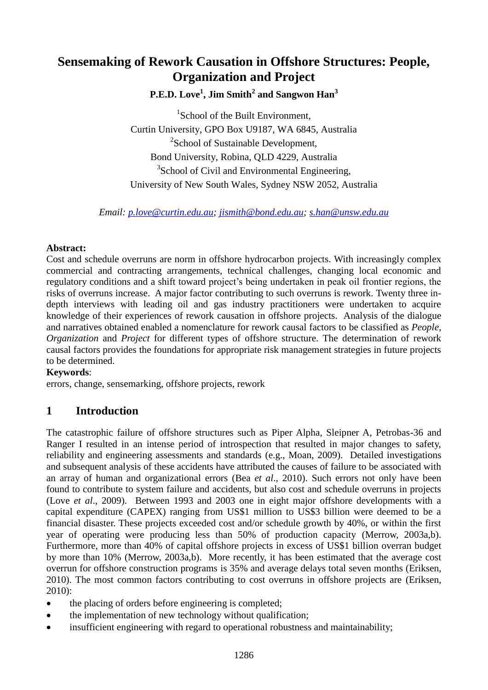# **Sensemaking of Rework Causation in Offshore Structures: People, Organization and Project**

## **P.E.D. Love<sup>1</sup> , Jim Smith<sup>2</sup> and Sangwon Han<sup>3</sup>**

<sup>1</sup>School of the Built Environment, Curtin University, GPO Box U9187, WA 6845, Australia <sup>2</sup>School of Sustainable Development, Bond University, Robina, QLD 4229, Australia <sup>3</sup>School of Civil and Environmental Engineering, University of New South Wales, Sydney NSW 2052, Australia

*Email: [p.love@curtin.edu.au;](mailto:p.love@curtin.edu.au) [jismith@bond.edu.au;](mailto:jismith@bond.edu.au) [s.han@unsw.edu.au](mailto:s.han@unsw.edu.au)*

#### **Abstract:**

Cost and schedule overruns are norm in offshore hydrocarbon projects. With increasingly complex commercial and contracting arrangements, technical challenges, changing local economic and regulatory conditions and a shift toward project's being undertaken in peak oil frontier regions, the risks of overruns increase. A major factor contributing to such overruns is rework. Twenty three indepth interviews with leading oil and gas industry practitioners were undertaken to acquire knowledge of their experiences of rework causation in offshore projects. Analysis of the dialogue and narratives obtained enabled a nomenclature for rework causal factors to be classified as *People*, *Organization* and *Project* for different types of offshore structure. The determination of rework causal factors provides the foundations for appropriate risk management strategies in future projects to be determined.

#### **Keywords**:

errors, change, sensemarking, offshore projects, rework

## **1 Introduction**

The catastrophic failure of offshore structures such as Piper Alpha, Sleipner A, Petrobas-36 and Ranger I resulted in an intense period of introspection that resulted in major changes to safety, reliability and engineering assessments and standards (e.g., Moan, 2009). Detailed investigations and subsequent analysis of these accidents have attributed the causes of failure to be associated with an array of human and organizational errors (Bea *et al*., 2010). Such errors not only have been found to contribute to system failure and accidents, but also cost and schedule overruns in projects (Love *et al*., 2009). Between 1993 and 2003 one in eight major offshore developments with a capital expenditure (CAPEX) ranging from US\$1 million to US\$3 billion were deemed to be a financial disaster. These projects exceeded cost and/or schedule growth by 40%, or within the first year of operating were producing less than 50% of production capacity (Merrow, 2003a,b). Furthermore, more than 40% of capital offshore projects in excess of US\$1 billion overran budget by more than 10% (Merrow, 2003a,b). More recently, it has been estimated that the average cost overrun for offshore construction programs is 35% and average delays total seven months (Eriksen, 2010). The most common factors contributing to cost overruns in offshore projects are (Eriksen, 2010):

- the placing of orders before engineering is completed;
- the implementation of new technology without qualification;
- insufficient engineering with regard to operational robustness and maintainability;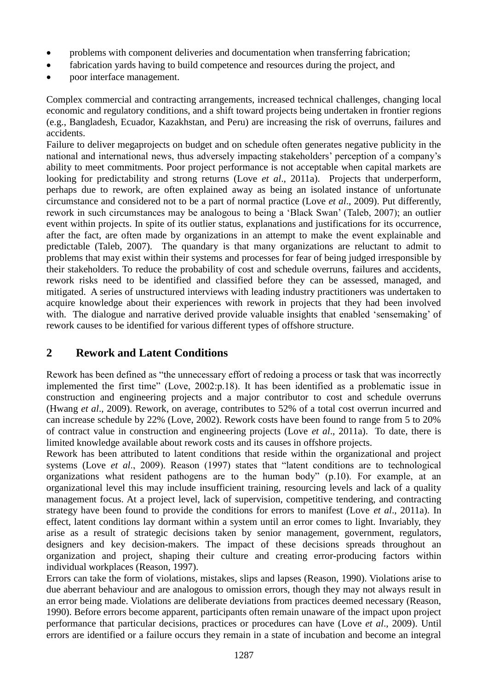- problems with component deliveries and documentation when transferring fabrication;
- fabrication yards having to build competence and resources during the project, and
- poor interface management.

Complex commercial and contracting arrangements, increased technical challenges, changing local economic and regulatory conditions, and a shift toward projects being undertaken in frontier regions (e.g., Bangladesh, Ecuador, Kazakhstan, and Peru) are increasing the risk of overruns, failures and accidents.

Failure to deliver megaprojects on budget and on schedule often generates negative publicity in the national and international news, thus adversely impacting stakeholders' perception of a company's ability to meet commitments. Poor project performance is not acceptable when capital markets are looking for predictability and strong returns (Love *et al*., 2011a). Projects that underperform, perhaps due to rework, are often explained away as being an isolated instance of unfortunate circumstance and considered not to be a part of normal practice (Love *et al*., 2009). Put differently, rework in such circumstances may be analogous to being a 'Black Swan' (Taleb, 2007); an outlier event within projects. In spite of its outlier status, explanations and justifications for its occurrence, after the fact, are often made by organizations in an attempt to make the event explainable and predictable (Taleb, 2007). The quandary is that many organizations are reluctant to admit to problems that may exist within their systems and processes for fear of being judged irresponsible by their stakeholders. To reduce the probability of cost and schedule overruns, failures and accidents, rework risks need to be identified and classified before they can be assessed, managed, and mitigated. A series of unstructured interviews with leading industry practitioners was undertaken to acquire knowledge about their experiences with rework in projects that they had been involved with. The dialogue and narrative derived provide valuable insights that enabled 'sensemaking' of rework causes to be identified for various different types of offshore structure.

## **2 Rework and Latent Conditions**

Rework has been defined as "the unnecessary effort of redoing a process or task that was incorrectly implemented the first time" (Love, 2002:p.18). It has been identified as a problematic issue in construction and engineering projects and a major contributor to cost and schedule overruns (Hwang *et al*., 2009). Rework, on average, contributes to 52% of a total cost overrun incurred and can increase schedule by 22% (Love, 2002). Rework costs have been found to range from 5 to 20% of contract value in construction and engineering projects (Love *et al*., 2011a). To date, there is limited knowledge available about rework costs and its causes in offshore projects.

Rework has been attributed to latent conditions that reside within the organizational and project systems (Love *et al.*, 2009). Reason (1997) states that "latent conditions are to technological organizations what resident pathogens are to the human body"  $(p.10)$ . For example, at an organizational level this may include insufficient training, resourcing levels and lack of a quality management focus. At a project level, lack of supervision, competitive tendering, and contracting strategy have been found to provide the conditions for errors to manifest (Love *et al*., 2011a). In effect, latent conditions lay dormant within a system until an error comes to light. Invariably, they arise as a result of strategic decisions taken by senior management, government, regulators, designers and key decision-makers. The impact of these decisions spreads throughout an organization and project, shaping their culture and creating error-producing factors within individual workplaces (Reason, 1997).

Errors can take the form of violations, mistakes, slips and lapses (Reason, 1990). Violations arise to due aberrant behaviour and are analogous to omission errors, though they may not always result in an error being made. Violations are deliberate deviations from practices deemed necessary (Reason, 1990). Before errors become apparent, participants often remain unaware of the impact upon project performance that particular decisions, practices or procedures can have (Love *et al*., 2009). Until errors are identified or a failure occurs they remain in a state of incubation and become an integral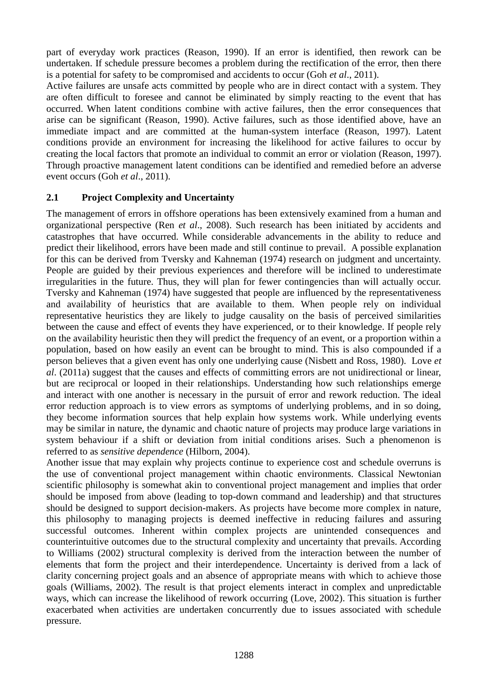part of everyday work practices (Reason, 1990). If an error is identified, then rework can be undertaken. If schedule pressure becomes a problem during the rectification of the error, then there is a potential for safety to be compromised and accidents to occur (Goh *et al*., 2011).

Active failures are unsafe acts committed by people who are in direct contact with a system. They are often difficult to foresee and cannot be eliminated by simply reacting to the event that has occurred. When latent conditions combine with active failures, then the error consequences that arise can be significant (Reason, 1990). Active failures, such as those identified above, have an immediate impact and are committed at the human-system interface (Reason, 1997). Latent conditions provide an environment for increasing the likelihood for active failures to occur by creating the local factors that promote an individual to commit an error or violation (Reason, 1997). Through proactive management latent conditions can be identified and remedied before an adverse event occurs (Goh *et al*., 2011).

## **2.1 Project Complexity and Uncertainty**

The management of errors in offshore operations has been extensively examined from a human and organizational perspective (Ren *et al*., 2008). Such research has been initiated by accidents and catastrophes that have occurred. While considerable advancements in the ability to reduce and predict their likelihood, errors have been made and still continue to prevail. A possible explanation for this can be derived from Tversky and Kahneman (1974) research on judgment and uncertainty. People are guided by their previous experiences and therefore will be inclined to underestimate irregularities in the future. Thus, they will plan for fewer contingencies than will actually occur. Tversky and Kahneman (1974) have suggested that people are influenced by the representativeness and availability of heuristics that are available to them. When people rely on individual representative heuristics they are likely to judge causality on the basis of perceived similarities between the cause and effect of events they have experienced, or to their knowledge. If people rely on the availability heuristic then they will predict the frequency of an event, or a proportion within a population, based on how easily an event can be brought to mind. This is also compounded if a person believes that a given event has only one underlying cause (Nisbett and Ross, 1980). Love *et al*. (2011a) suggest that the causes and effects of committing errors are not unidirectional or linear, but are reciprocal or looped in their relationships. Understanding how such relationships emerge and interact with one another is necessary in the pursuit of error and rework reduction. The ideal error reduction approach is to view errors as symptoms of underlying problems, and in so doing, they become information sources that help explain how systems work. While underlying events may be similar in nature, the dynamic and chaotic nature of projects may produce large variations in system behaviour if a shift or deviation from initial conditions arises. Such a phenomenon is referred to as *sensitive dependence* (Hilborn, 2004).

Another issue that may explain why projects continue to experience cost and schedule overruns is the use of conventional project management within chaotic environments. Classical Newtonian scientific philosophy is somewhat akin to conventional project management and implies that order should be imposed from above (leading to top-down command and leadership) and that structures should be designed to support decision-makers. As projects have become more complex in nature, this philosophy to managing projects is deemed ineffective in reducing failures and assuring successful outcomes. Inherent within complex projects are unintended consequences and counterintuitive outcomes due to the structural complexity and uncertainty that prevails. According to Williams (2002) structural complexity is derived from the interaction between the number of elements that form the project and their interdependence. Uncertainty is derived from a lack of clarity concerning project goals and an absence of appropriate means with which to achieve those goals (Williams, 2002). The result is that project elements interact in complex and unpredictable ways, which can increase the likelihood of rework occurring (Love, 2002). This situation is further exacerbated when activities are undertaken concurrently due to issues associated with schedule pressure.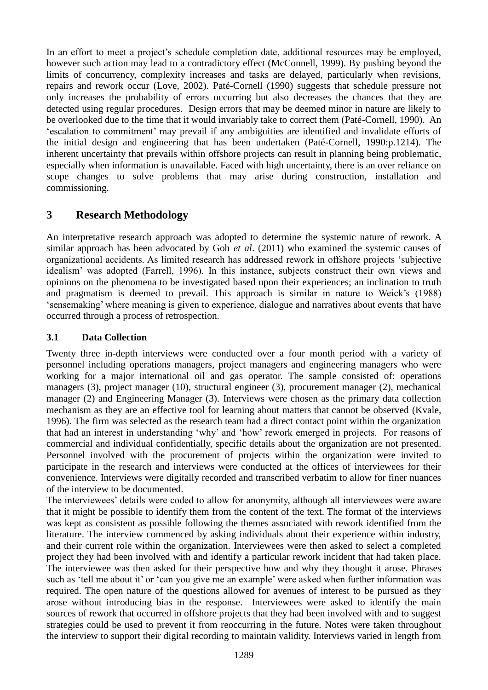In an effort to meet a project's schedule completion date, additional resources may be employed, however such action may lead to a contradictory effect (McConnell, 1999). By pushing beyond the limits of concurrency, complexity increases and tasks are delayed, particularly when revisions, repairs and rework occur (Love, 2002). Paté-Cornell (1990) suggests that schedule pressure not only increases the probability of errors occurring but also decreases the chances that they are detected using regular procedures. Design errors that may be deemed minor in nature are likely to be overlooked due to the time that it would invariably take to correct them (Paté-Cornell, 1990). An ‗escalation to commitment' may prevail if any ambiguities are identified and invalidate efforts of the initial design and engineering that has been undertaken (Paté-Cornell, 1990:p.1214). The inherent uncertainty that prevails within offshore projects can result in planning being problematic, especially when information is unavailable. Faced with high uncertainty, there is an over reliance on scope changes to solve problems that may arise during construction, installation and commissioning.

## **3 Research Methodology**

An interpretative research approach was adopted to determine the systemic nature of rework. A similar approach has been advocated by Goh *et al*. (2011) who examined the systemic causes of organizational accidents. As limited research has addressed rework in offshore projects ‗subjective idealism' was adopted (Farrell, 1996). In this instance, subjects construct their own views and opinions on the phenomena to be investigated based upon their experiences; an inclination to truth and pragmatism is deemed to prevail. This approach is similar in nature to Weick's (1988) ‗sensemaking' where meaning is given to experience, dialogue and narratives about events that have occurred through a process of retrospection.

## **3.1 Data Collection**

Twenty three in-depth interviews were conducted over a four month period with a variety of personnel including operations managers, project managers and engineering managers who were working for a major international oil and gas operator. The sample consisted of: operations managers (3), project manager (10), structural engineer (3), procurement manager (2), mechanical manager (2) and Engineering Manager (3). Interviews were chosen as the primary data collection mechanism as they are an effective tool for learning about matters that cannot be observed (Kvale, 1996). The firm was selected as the research team had a direct contact point within the organization that had an interest in understanding 'why' and 'how' rework emerged in projects. For reasons of commercial and individual confidentially, specific details about the organization are not presented. Personnel involved with the procurement of projects within the organization were invited to participate in the research and interviews were conducted at the offices of interviewees for their convenience. Interviews were digitally recorded and transcribed verbatim to allow for finer nuances of the interview to be documented.

The interviewees' details were coded to allow for anonymity, although all interviewees were aware that it might be possible to identify them from the content of the text. The format of the interviews was kept as consistent as possible following the themes associated with rework identified from the literature. The interview commenced by asking individuals about their experience within industry, and their current role within the organization. Interviewees were then asked to select a completed project they had been involved with and identify a particular rework incident that had taken place. The interviewee was then asked for their perspective how and why they thought it arose. Phrases such as 'tell me about it' or 'can you give me an example' were asked when further information was required. The open nature of the questions allowed for avenues of interest to be pursued as they arose without introducing bias in the response. Interviewees were asked to identify the main sources of rework that occurred in offshore projects that they had been involved with and to suggest strategies could be used to prevent it from reoccurring in the future. Notes were taken throughout the interview to support their digital recording to maintain validity. Interviews varied in length from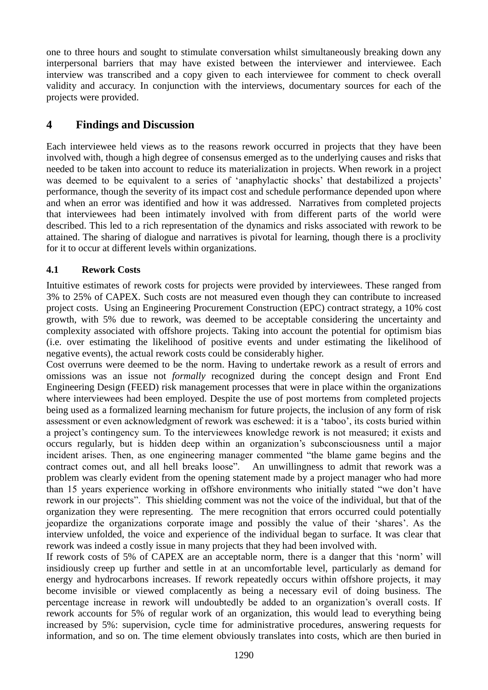one to three hours and sought to stimulate conversation whilst simultaneously breaking down any interpersonal barriers that may have existed between the interviewer and interviewee. Each interview was transcribed and a copy given to each interviewee for comment to check overall validity and accuracy. In conjunction with the interviews, documentary sources for each of the projects were provided.

## **4 Findings and Discussion**

Each interviewee held views as to the reasons rework occurred in projects that they have been involved with, though a high degree of consensus emerged as to the underlying causes and risks that needed to be taken into account to reduce its materialization in projects. When rework in a project was deemed to be equivalent to a series of 'anaphylactic shocks' that destabilized a projects' performance, though the severity of its impact cost and schedule performance depended upon where and when an error was identified and how it was addressed. Narratives from completed projects that interviewees had been intimately involved with from different parts of the world were described. This led to a rich representation of the dynamics and risks associated with rework to be attained. The sharing of dialogue and narratives is pivotal for learning, though there is a proclivity for it to occur at different levels within organizations.

#### **4.1 Rework Costs**

Intuitive estimates of rework costs for projects were provided by interviewees. These ranged from 3% to 25% of CAPEX. Such costs are not measured even though they can contribute to increased project costs. Using an Engineering Procurement Construction (EPC) contract strategy, a 10% cost growth, with 5% due to rework, was deemed to be acceptable considering the uncertainty and complexity associated with offshore projects. Taking into account the potential for optimism bias (i.e. over estimating the likelihood of positive events and under estimating the likelihood of negative events), the actual rework costs could be considerably higher.

Cost overruns were deemed to be the norm. Having to undertake rework as a result of errors and omissions was an issue not *formally* recognized during the concept design and Front End Engineering Design (FEED) risk management processes that were in place within the organizations where interviewees had been employed. Despite the use of post mortems from completed projects being used as a formalized learning mechanism for future projects, the inclusion of any form of risk assessment or even acknowledgment of rework was eschewed: it is a 'taboo', its costs buried within a project's contingency sum. To the interviewees knowledge rework is not measured; it exists and occurs regularly, but is hidden deep within an organization's subconsciousness until a major incident arises. Then, as one engineering manager commented "the blame game begins and the contract comes out, and all hell breaks loose". An unwillingness to admit that rework was a problem was clearly evident from the opening statement made by a project manager who had more than 15 years experience working in offshore environments who initially stated "we don't have rework in our projects". This shielding comment was not the voice of the individual, but that of the organization they were representing. The mere recognition that errors occurred could potentially jeopardize the organizations corporate image and possibly the value of their ‗shares'. As the interview unfolded, the voice and experience of the individual began to surface. It was clear that rework was indeed a costly issue in many projects that they had been involved with.

If rework costs of 5% of CAPEX are an acceptable norm, there is a danger that this 'norm' will insidiously creep up further and settle in at an uncomfortable level, particularly as demand for energy and hydrocarbons increases. If rework repeatedly occurs within offshore projects, it may become invisible or viewed complacently as being a necessary evil of doing business. The percentage increase in rework will undoubtedly be added to an organization's overall costs. If rework accounts for 5% of regular work of an organization, this would lead to everything being increased by 5%: supervision, cycle time for administrative procedures, answering requests for information, and so on. The time element obviously translates into costs, which are then buried in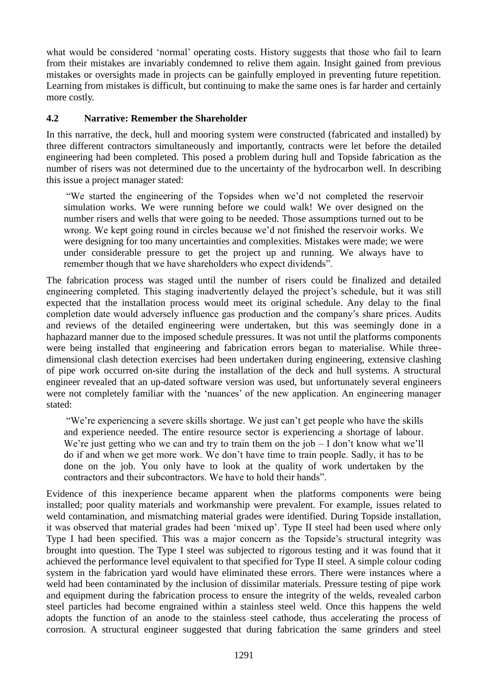what would be considered 'normal' operating costs. History suggests that those who fail to learn from their mistakes are invariably condemned to relive them again. Insight gained from previous mistakes or oversights made in projects can be gainfully employed in preventing future repetition. Learning from mistakes is difficult, but continuing to make the same ones is far harder and certainly more costly.

#### **4.2 Narrative: Remember the Shareholder**

In this narrative, the deck, hull and mooring system were constructed (fabricated and installed) by three different contractors simultaneously and importantly, contracts were let before the detailed engineering had been completed. This posed a problem during hull and Topside fabrication as the number of risers was not determined due to the uncertainty of the hydrocarbon well. In describing this issue a project manager stated:

―We started the engineering of the Topsides when we'd not completed the reservoir simulation works. We were running before we could walk! We over designed on the number risers and wells that were going to be needed. Those assumptions turned out to be wrong. We kept going round in circles because we'd not finished the reservoir works. We were designing for too many uncertainties and complexities. Mistakes were made; we were under considerable pressure to get the project up and running. We always have to remember though that we have shareholders who expect dividends".

The fabrication process was staged until the number of risers could be finalized and detailed engineering completed. This staging inadvertently delayed the project's schedule, but it was still expected that the installation process would meet its original schedule. Any delay to the final completion date would adversely influence gas production and the company's share prices. Audits and reviews of the detailed engineering were undertaken, but this was seemingly done in a haphazard manner due to the imposed schedule pressures. It was not until the platforms components were being installed that engineering and fabrication errors began to materialise. While threedimensional clash detection exercises had been undertaken during engineering, extensive clashing of pipe work occurred on-site during the installation of the deck and hull systems. A structural engineer revealed that an up-dated software version was used, but unfortunately several engineers were not completely familiar with the 'nuances' of the new application. An engineering manager stated:

―We're experiencing a severe skills shortage. We just can't get people who have the skills and experience needed. The entire resource sector is experiencing a shortage of labour. We're just getting who we can and try to train them on the job  $-1$  don't know what we'll do if and when we get more work. We don't have time to train people. Sadly, it has to be done on the job. You only have to look at the quality of work undertaken by the contractors and their subcontractors. We have to hold their hands".

Evidence of this inexperience became apparent when the platforms components were being installed; poor quality materials and workmanship were prevalent. For example, issues related to weld contamination, and mismatching material grades were identified. During Topside installation, it was observed that material grades had been 'mixed up'. Type II steel had been used where only Type I had been specified. This was a major concern as the Topside's structural integrity was brought into question. The Type I steel was subjected to rigorous testing and it was found that it achieved the performance level equivalent to that specified for Type II steel. A simple colour coding system in the fabrication yard would have eliminated these errors. There were instances where a weld had been contaminated by the inclusion of dissimilar materials. Pressure testing of pipe work and equipment during the fabrication process to ensure the integrity of the welds, revealed carbon steel particles had become engrained within a stainless steel weld. Once this happens the weld adopts the function of an anode to the stainless steel cathode, thus accelerating the process of corrosion. A structural engineer suggested that during fabrication the same grinders and steel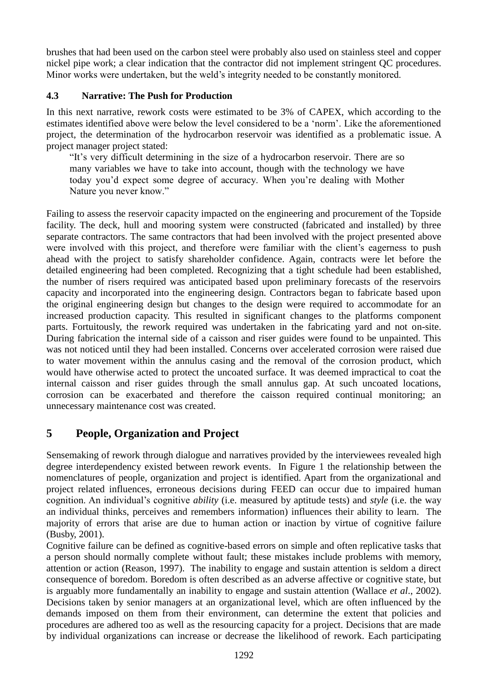brushes that had been used on the carbon steel were probably also used on stainless steel and copper nickel pipe work; a clear indication that the contractor did not implement stringent QC procedures. Minor works were undertaken, but the weld's integrity needed to be constantly monitored.

## **4.3 Narrative: The Push for Production**

In this next narrative, rework costs were estimated to be 3% of CAPEX, which according to the estimates identified above were below the level considered to be a 'norm'. Like the aforementioned project, the determination of the hydrocarbon reservoir was identified as a problematic issue. A project manager project stated:

"It's very difficult determining in the size of a hydrocarbon reservoir. There are so many variables we have to take into account, though with the technology we have today you'd expect some degree of accuracy. When you're dealing with Mother Nature you never know."

Failing to assess the reservoir capacity impacted on the engineering and procurement of the Topside facility. The deck, hull and mooring system were constructed (fabricated and installed) by three separate contractors. The same contractors that had been involved with the project presented above were involved with this project, and therefore were familiar with the client's eagerness to push ahead with the project to satisfy shareholder confidence. Again, contracts were let before the detailed engineering had been completed. Recognizing that a tight schedule had been established, the number of risers required was anticipated based upon preliminary forecasts of the reservoirs capacity and incorporated into the engineering design. Contractors began to fabricate based upon the original engineering design but changes to the design were required to accommodate for an increased production capacity. This resulted in significant changes to the platforms component parts. Fortuitously, the rework required was undertaken in the fabricating yard and not on-site. During fabrication the internal side of a caisson and riser guides were found to be unpainted. This was not noticed until they had been installed. Concerns over accelerated corrosion were raised due to water movement within the annulus casing and the removal of the corrosion product, which would have otherwise acted to protect the uncoated surface. It was deemed impractical to coat the internal caisson and riser guides through the small annulus gap. At such uncoated locations, corrosion can be exacerbated and therefore the caisson required continual monitoring; an unnecessary maintenance cost was created.

## **5 People, Organization and Project**

Sensemaking of rework through dialogue and narratives provided by the interviewees revealed high degree interdependency existed between rework events. In Figure 1 the relationship between the nomenclatures of people, organization and project is identified. Apart from the organizational and project related influences, erroneous decisions during FEED can occur due to impaired human cognition. An individual's cognitive *ability* (i.e. measured by aptitude tests) and *style* (i.e. the way an individual thinks, perceives and remembers information) influences their ability to learn. The majority of errors that arise are due to human action or inaction by virtue of cognitive failure (Busby, 2001).

Cognitive failure can be defined as cognitive-based errors on simple and often replicative tasks that a person should normally complete without fault; these mistakes include problems with memory, attention or action (Reason, 1997). The inability to engage and sustain attention is seldom a direct consequence of boredom. Boredom is often described as an adverse affective or cognitive state, but is arguably more fundamentally an inability to engage and sustain attention (Wallace *et al*., 2002). Decisions taken by senior managers at an organizational level, which are often influenced by the demands imposed on them from their environment, can determine the extent that policies and procedures are adhered too as well as the resourcing capacity for a project. Decisions that are made by individual organizations can increase or decrease the likelihood of rework. Each participating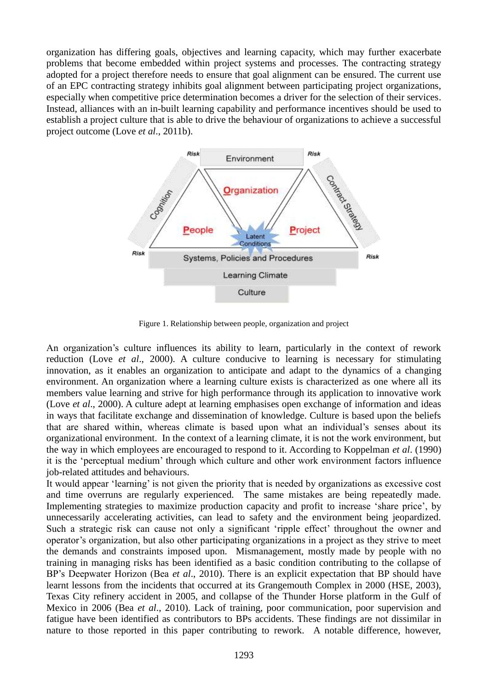organization has differing goals, objectives and learning capacity, which may further exacerbate problems that become embedded within project systems and processes. The contracting strategy adopted for a project therefore needs to ensure that goal alignment can be ensured. The current use of an EPC contracting strategy inhibits goal alignment between participating project organizations, especially when competitive price determination becomes a driver for the selection of their services. Instead, alliances with an in-built learning capability and performance incentives should be used to establish a project culture that is able to drive the behaviour of organizations to achieve a successful project outcome (Love *et al*., 2011b).



Figure 1. Relationship between people, organization and project

An organization's culture influences its ability to learn, particularly in the context of rework reduction (Love *et al*., 2000). A culture conducive to learning is necessary for stimulating innovation, as it enables an organization to anticipate and adapt to the dynamics of a changing environment. An organization where a learning culture exists is characterized as one where all its members value learning and strive for high performance through its application to innovative work (Love *et al*., 2000). A culture adept at learning emphasises open exchange of information and ideas in ways that facilitate exchange and dissemination of knowledge. Culture is based upon the beliefs that are shared within, whereas climate is based upon what an individual's senses about its organizational environment. In the context of a learning climate, it is not the work environment, but the way in which employees are encouraged to respond to it. According to Koppelman *et al*. (1990) it is the 'perceptual medium' through which culture and other work environment factors influence job-related attitudes and behaviours.

It would appear ‗learning' is not given the priority that is needed by organizations as excessive cost and time overruns are regularly experienced. The same mistakes are being repeatedly made. Implementing strategies to maximize production capacity and profit to increase 'share price', by unnecessarily accelerating activities, can lead to safety and the environment being jeopardized. Such a strategic risk can cause not only a significant 'ripple effect' throughout the owner and operator's organization, but also other participating organizations in a project as they strive to meet the demands and constraints imposed upon. Mismanagement, mostly made by people with no training in managing risks has been identified as a basic condition contributing to the collapse of BP's Deepwater Horizon (Bea *et al*., 2010). There is an explicit expectation that BP should have learnt lessons from the incidents that occurred at its Grangemouth Complex in 2000 (HSE, 2003), Texas City refinery accident in 2005, and collapse of the Thunder Horse platform in the Gulf of Mexico in 2006 (Bea *et al*., 2010). Lack of training, poor communication, poor supervision and fatigue have been identified as contributors to BPs accidents. These findings are not dissimilar in nature to those reported in this paper contributing to rework. A notable difference, however,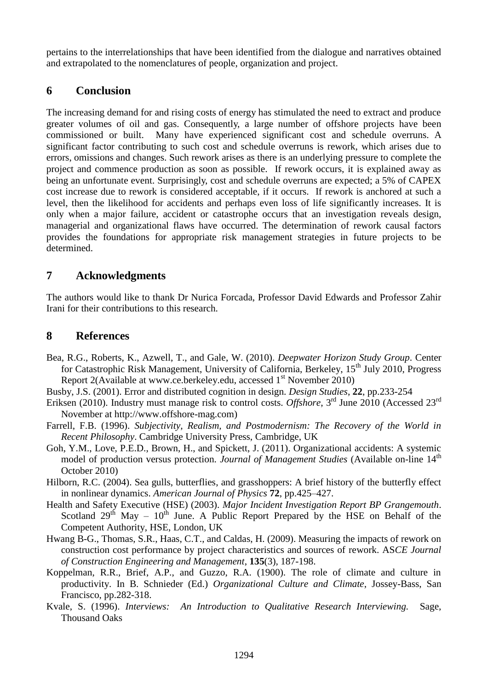pertains to the interrelationships that have been identified from the dialogue and narratives obtained and extrapolated to the nomenclatures of people, organization and project.

## **6 Conclusion**

The increasing demand for and rising costs of energy has stimulated the need to extract and produce greater volumes of oil and gas. Consequently, a large number of offshore projects have been commissioned or built. Many have experienced significant cost and schedule overruns. A significant factor contributing to such cost and schedule overruns is rework, which arises due to errors, omissions and changes. Such rework arises as there is an underlying pressure to complete the project and commence production as soon as possible. If rework occurs, it is explained away as being an unfortunate event. Surprisingly, cost and schedule overruns are expected; a 5% of CAPEX cost increase due to rework is considered acceptable, if it occurs. If rework is anchored at such a level, then the likelihood for accidents and perhaps even loss of life significantly increases. It is only when a major failure, accident or catastrophe occurs that an investigation reveals design, managerial and organizational flaws have occurred. The determination of rework causal factors provides the foundations for appropriate risk management strategies in future projects to be determined.

## **7 Acknowledgments**

The authors would like to thank Dr Nurica Forcada, Professor David Edwards and Professor Zahir Irani for their contributions to this research.

## **8 References**

- Bea, R.G., Roberts, K., Azwell, T., and Gale, W. (2010). *Deepwater Horizon Study Group*. Center for Catastrophic Risk Management, University of California, Berkeley, 15<sup>th</sup> July 2010, Progress Report 2(Available at www.ce.berkeley.edu, accessed 1<sup>st</sup> November 2010)
- Busby, J.S. (2001). Error and distributed cognition in design. *Design Studies*, **22**, pp.233-254
- Eriksen (2010). Industry must manage risk to control costs. *Offshore*, 3<sup>rd</sup> June 2010 (Accessed 23<sup>rd</sup> November at http://www.offshore-mag.com)
- Farrell, F.B. (1996). *Subjectivity, Realism, and Postmodernism: The Recovery of the World in Recent Philosophy*. Cambridge University Press, Cambridge, UK
- Goh, Y.M., Love, P.E.D., Brown, H., and Spickett, J. (2011). Organizational accidents: A systemic model of production versus protection. *Journal of Management Studies* (Available on-line 14<sup>th</sup> October 2010)
- Hilborn, R.C. (2004). Sea gulls, butterflies, and grasshoppers: A brief history of the butterfly effect in nonlinear dynamics. *American Journal of Physics* **72**, pp.425–427.
- Health and Safety Executive (HSE) (2003). *Major Incident Investigation Report BP Grangemouth*. Scotland  $29<sup>th</sup>$  May –  $10<sup>th</sup>$  June. A Public Report Prepared by the HSE on Behalf of the Competent Authority, HSE, London, UK
- Hwang B-G., Thomas, S.R., Haas, C.T., and Caldas, H. (2009). Measuring the impacts of rework on construction cost performance by project characteristics and sources of rework. AS*CE Journal of Construction Engineering and Management*, **135**(3), 187-198.
- Koppelman, R.R., Brief, A.P., and Guzzo, R.A. (1900). The role of climate and culture in productivity. In B. Schnieder (Ed.) *Organizational Culture and Climate*, Jossey-Bass, San Francisco, pp.282-318.
- Kvale, S. (1996). *Interviews: An Introduction to Qualitative Research Interviewing.* Sage, Thousand Oaks